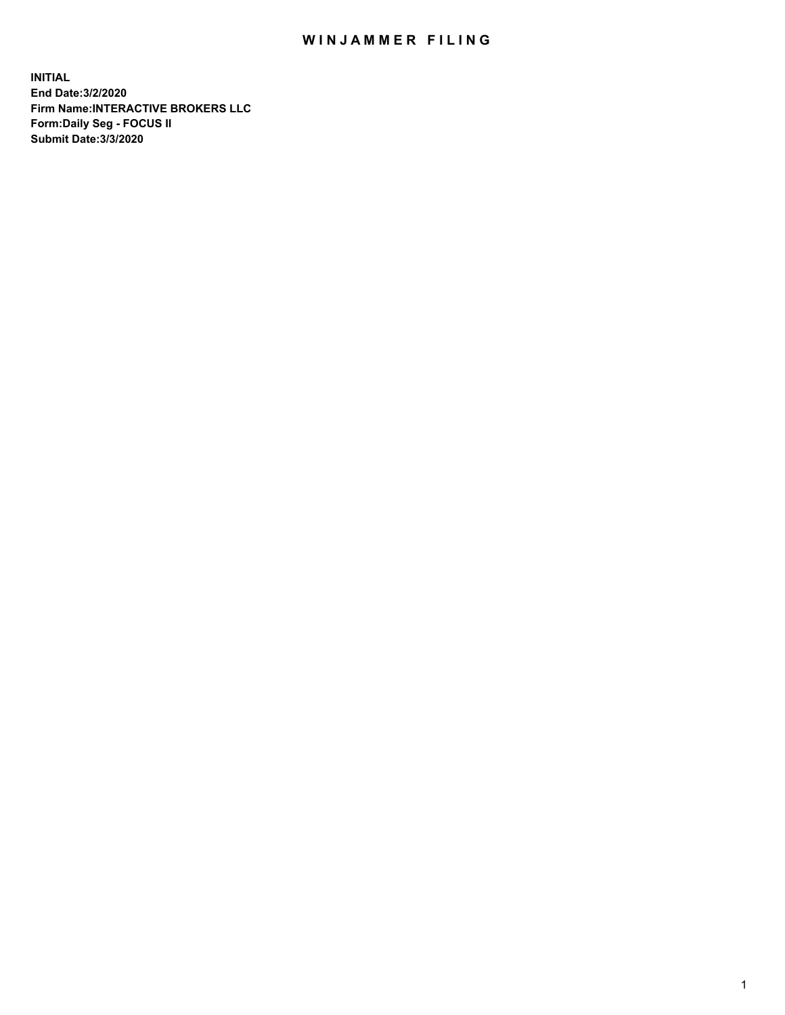## WIN JAMMER FILING

**INITIAL End Date:3/2/2020 Firm Name:INTERACTIVE BROKERS LLC Form:Daily Seg - FOCUS II Submit Date:3/3/2020**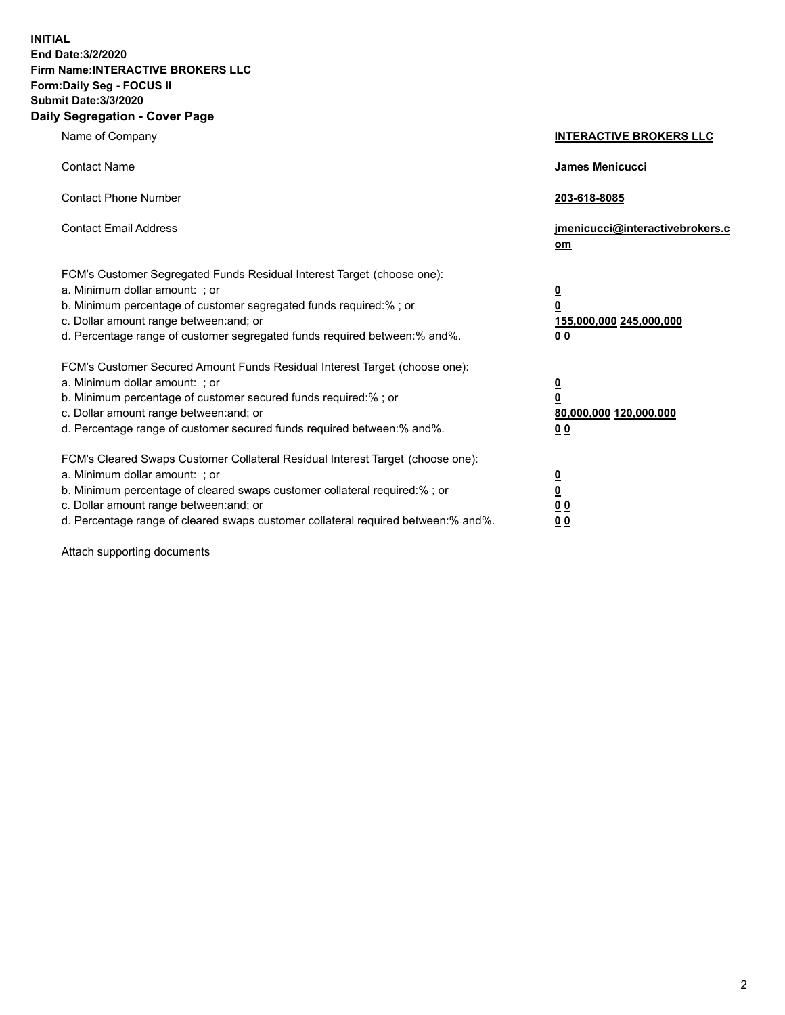**INITIAL End Date:3/2/2020 Firm Name:INTERACTIVE BROKERS LLC Form:Daily Seg - FOCUS II Submit Date:3/3/2020 Daily Segregation - Cover Page**

| Name of Company                                                                                                                                                                                                                                                                                                                | <b>INTERACTIVE BROKERS LLC</b>                                                                 |
|--------------------------------------------------------------------------------------------------------------------------------------------------------------------------------------------------------------------------------------------------------------------------------------------------------------------------------|------------------------------------------------------------------------------------------------|
| <b>Contact Name</b>                                                                                                                                                                                                                                                                                                            | James Menicucci                                                                                |
| <b>Contact Phone Number</b>                                                                                                                                                                                                                                                                                                    | 203-618-8085                                                                                   |
| <b>Contact Email Address</b>                                                                                                                                                                                                                                                                                                   | jmenicucci@interactivebrokers.c<br>om                                                          |
| FCM's Customer Segregated Funds Residual Interest Target (choose one):<br>a. Minimum dollar amount: ; or<br>b. Minimum percentage of customer segregated funds required:% ; or<br>c. Dollar amount range between: and; or<br>d. Percentage range of customer segregated funds required between: % and %.                       | $\overline{\mathbf{0}}$<br>$\overline{\mathbf{0}}$<br>155,000,000 245,000,000<br>00            |
| FCM's Customer Secured Amount Funds Residual Interest Target (choose one):<br>a. Minimum dollar amount: ; or<br>b. Minimum percentage of customer secured funds required:%; or<br>c. Dollar amount range between: and; or<br>d. Percentage range of customer secured funds required between:% and%.                            | $\overline{\mathbf{0}}$<br>$\overline{\mathbf{0}}$<br>80,000,000 120,000,000<br>0 <sub>0</sub> |
| FCM's Cleared Swaps Customer Collateral Residual Interest Target (choose one):<br>a. Minimum dollar amount: ; or<br>b. Minimum percentage of cleared swaps customer collateral required:% ; or<br>c. Dollar amount range between: and; or<br>d. Percentage range of cleared swaps customer collateral required between:% and%. | <u>0</u><br>$\overline{\mathbf{0}}$<br>0 <sub>0</sub><br>0 <sub>0</sub>                        |

Attach supporting documents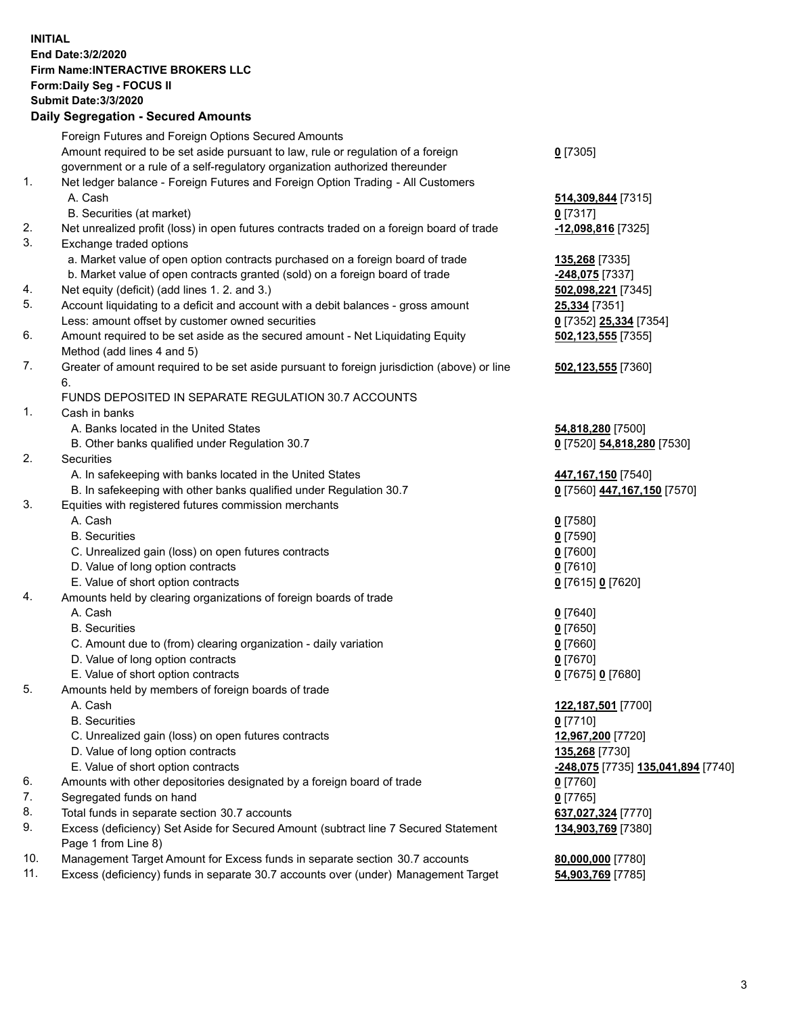**INITIAL End Date:3/2/2020 Firm Name:INTERACTIVE BROKERS LLC Form:Daily Seg - FOCUS II Submit Date:3/3/2020 Daily Segregation - Secured Amounts**

|     | Foreign Futures and Foreign Options Secured Amounts                                         |                                                         |
|-----|---------------------------------------------------------------------------------------------|---------------------------------------------------------|
|     | Amount required to be set aside pursuant to law, rule or regulation of a foreign            | $0$ [7305]                                              |
|     | government or a rule of a self-regulatory organization authorized thereunder                |                                                         |
| 1.  | Net ledger balance - Foreign Futures and Foreign Option Trading - All Customers             |                                                         |
|     | A. Cash                                                                                     | 514,309,844 [7315]                                      |
|     | B. Securities (at market)                                                                   | $0$ [7317]                                              |
| 2.  | Net unrealized profit (loss) in open futures contracts traded on a foreign board of trade   | -12,098,816 [7325]                                      |
| 3.  | Exchange traded options                                                                     |                                                         |
|     | a. Market value of open option contracts purchased on a foreign board of trade              | 135,268 [7335]                                          |
|     | b. Market value of open contracts granted (sold) on a foreign board of trade                | -248,075 [7337]                                         |
| 4.  | Net equity (deficit) (add lines 1. 2. and 3.)                                               | 502,098,221 [7345]                                      |
| 5.  | Account liquidating to a deficit and account with a debit balances - gross amount           | 25,334 [7351]                                           |
|     | Less: amount offset by customer owned securities                                            | 0 [7352] 25,334 [7354]                                  |
| 6.  | Amount required to be set aside as the secured amount - Net Liquidating Equity              | 502,123,555 [7355]                                      |
|     | Method (add lines 4 and 5)                                                                  |                                                         |
| 7.  | Greater of amount required to be set aside pursuant to foreign jurisdiction (above) or line | 502,123,555 [7360]                                      |
|     | 6.                                                                                          |                                                         |
|     | FUNDS DEPOSITED IN SEPARATE REGULATION 30.7 ACCOUNTS                                        |                                                         |
| 1.  | Cash in banks                                                                               |                                                         |
|     | A. Banks located in the United States                                                       | 54,818,280 [7500]                                       |
|     | B. Other banks qualified under Regulation 30.7                                              | 0 [7520] 54,818,280 [7530]                              |
| 2.  | Securities                                                                                  |                                                         |
|     | A. In safekeeping with banks located in the United States                                   | 447,167,150 [7540]                                      |
|     | B. In safekeeping with other banks qualified under Regulation 30.7                          | 0 [7560] 447,167,150 [7570]                             |
| 3.  | Equities with registered futures commission merchants                                       |                                                         |
|     | A. Cash                                                                                     | $0$ [7580]                                              |
|     | <b>B.</b> Securities                                                                        | $0$ [7590]                                              |
|     | C. Unrealized gain (loss) on open futures contracts                                         | $0$ [7600]                                              |
|     | D. Value of long option contracts                                                           | $0$ [7610]                                              |
|     | E. Value of short option contracts                                                          | 0 [7615] 0 [7620]                                       |
| 4.  | Amounts held by clearing organizations of foreign boards of trade                           |                                                         |
|     | A. Cash                                                                                     | $0$ [7640]                                              |
|     | <b>B.</b> Securities                                                                        | $0$ [7650]                                              |
|     | C. Amount due to (from) clearing organization - daily variation                             | $0$ [7660]                                              |
|     | D. Value of long option contracts                                                           | $0$ [7670]                                              |
|     | E. Value of short option contracts                                                          | 0 [7675] 0 [7680]                                       |
| 5.  | Amounts held by members of foreign boards of trade                                          |                                                         |
|     | A. Cash                                                                                     | 122,187,501 [7700]                                      |
|     | <b>B.</b> Securities                                                                        | $0$ [7710]                                              |
|     | C. Unrealized gain (loss) on open futures contracts                                         | 12,967,200 [7720]                                       |
|     | D. Value of long option contracts                                                           | 135,268 [7730]                                          |
|     | E. Value of short option contracts                                                          | <u>-<b>248,075</b></u> [7735] <u>135,041,894</u> [7740] |
| 6.  | Amounts with other depositories designated by a foreign board of trade                      | $0$ [7760]                                              |
| 7.  | Segregated funds on hand                                                                    | $0$ [7765]                                              |
| 8.  | Total funds in separate section 30.7 accounts                                               | 637,027,324 [7770]                                      |
| 9.  | Excess (deficiency) Set Aside for Secured Amount (subtract line 7 Secured Statement         | 134,903,769 [7380]                                      |
| 10. | Page 1 from Line 8)                                                                         |                                                         |
| 11. | Management Target Amount for Excess funds in separate section 30.7 accounts                 | 80,000,000 [7780]                                       |
|     | Excess (deficiency) funds in separate 30.7 accounts over (under) Management Target          | 54,903,769 [7785]                                       |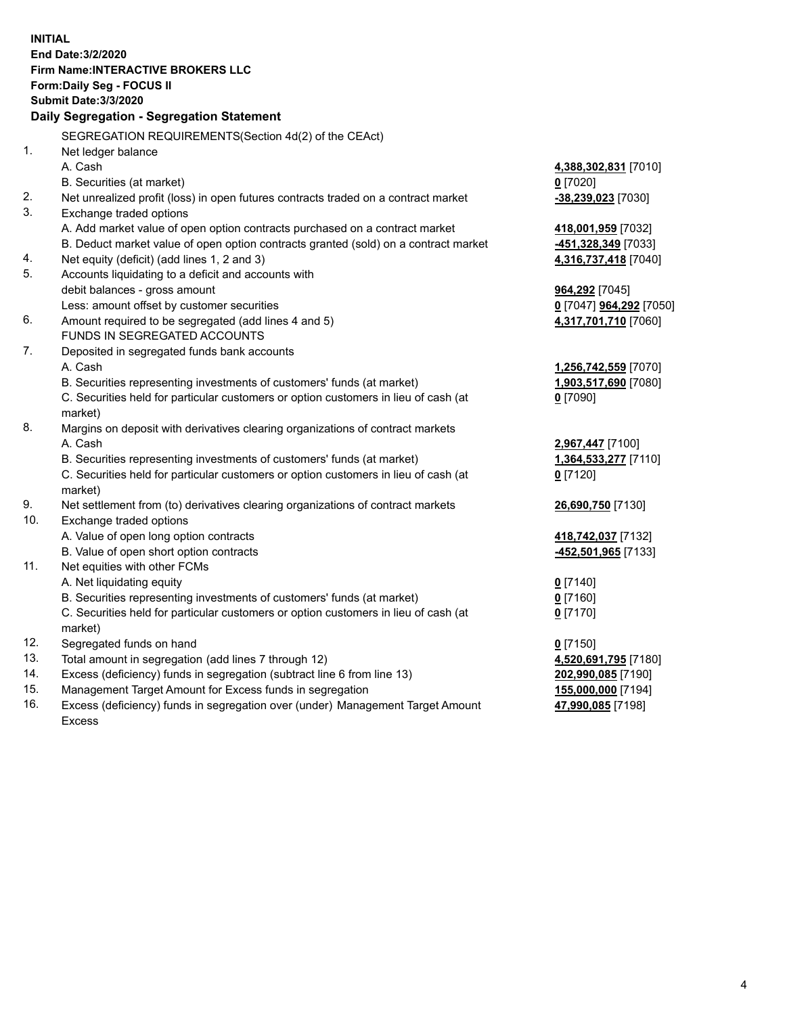**INITIAL End Date:3/2/2020 Firm Name:INTERACTIVE BROKERS LLC Form:Daily Seg - FOCUS II Submit Date:3/3/2020 Daily Segregation - Segregation Statement** SEGREGATION REQUIREMENTS(Section 4d(2) of the CEAct) 1. Net ledger balance A. Cash **4,388,302,831** [7010] B. Securities (at market) **0** [7020] 2. Net unrealized profit (loss) in open futures contracts traded on a contract market **-38,239,023** [7030] 3. Exchange traded options A. Add market value of open option contracts purchased on a contract market **418,001,959** [7032] B. Deduct market value of open option contracts granted (sold) on a contract market **-451,328,349** [7033] 4. Net equity (deficit) (add lines 1, 2 and 3) **4,316,737,418** [7040] 5. Accounts liquidating to a deficit and accounts with debit balances - gross amount **964,292** [7045] Less: amount offset by customer securities **0** [7047] **964,292** [7050] 6. Amount required to be segregated (add lines 4 and 5) **4,317,701,710** [7060] FUNDS IN SEGREGATED ACCOUNTS 7. Deposited in segregated funds bank accounts A. Cash **1,256,742,559** [7070] B. Securities representing investments of customers' funds (at market) **1,903,517,690** [7080] C. Securities held for particular customers or option customers in lieu of cash (at market) **0** [7090] 8. Margins on deposit with derivatives clearing organizations of contract markets A. Cash **2,967,447** [7100] B. Securities representing investments of customers' funds (at market) **1,364,533,277** [7110] C. Securities held for particular customers or option customers in lieu of cash (at market) **0** [7120] 9. Net settlement from (to) derivatives clearing organizations of contract markets **26,690,750** [7130] 10. Exchange traded options A. Value of open long option contracts **418,742,037** [7132] B. Value of open short option contracts **-452,501,965** [7133] 11. Net equities with other FCMs A. Net liquidating equity **0** [7140] B. Securities representing investments of customers' funds (at market) **0** [7160] C. Securities held for particular customers or option customers in lieu of cash (at market) **0** [7170] 12. Segregated funds on hand **0** [7150] 13. Total amount in segregation (add lines 7 through 12) **4,520,691,795** [7180] 14. Excess (deficiency) funds in segregation (subtract line 6 from line 13) **202,990,085** [7190] 15. Management Target Amount for Excess funds in segregation **155,000,000** [7194] 16. Excess (deficiency) funds in segregation over (under) Management Target Amount **47,990,085** [7198]

Excess